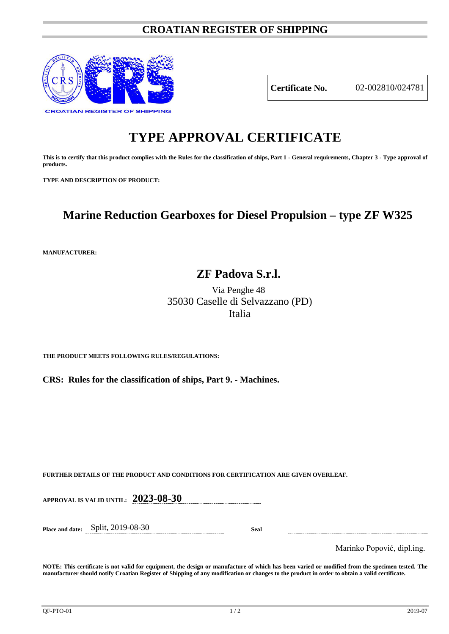### **CROATIAN REGISTER OF SHIPPING**



**Certificate No.** 02-002810/024781

# **TYPE APPROVAL CERTIFICATE**

**This is to certify that this product complies with the Rules for the classification of ships, Part 1 - General requirements, Chapter 3 - Type approval of products.**

**TYPE AND DESCRIPTION OF PRODUCT:** 

## **Marine Reduction Gearboxes for Diesel Propulsion – type ZF W325**

**MANUFACTURER:**

### **ZF Padova S.r.l.**

Via Penghe 48 35030 Caselle di Selvazzano (PD) Italia

**THE PRODUCT MEETS FOLLOWING RULES/REGULATIONS:**

**CRS: Rules for the classification of ships, Part 9. - Machines.**

**FURTHER DETAILS OF THE PRODUCT AND CONDITIONS FOR CERTIFICATION ARE GIVEN OVERLEAF.**

**APPROVAL IS VALID UNTIL: 2023-08-30**

**Place and date:** Split, 2019-08-30 **Seal**

Marinko Popović, dipl.ing.

**NOTE: This certificate is not valid for equipment, the design or manufacture of which has been varied or modified from the specimen tested. The manufacturer should notify Croatian Register of Shipping of any modification or changes to the product in order to obtain a valid certificate.**